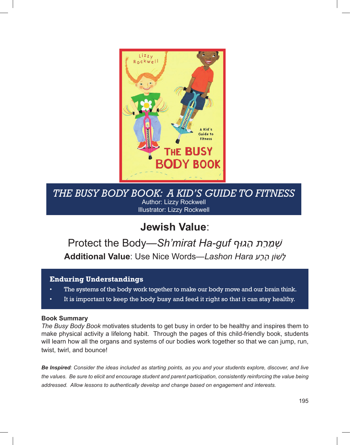

*The Busy Body Book: A Kid's Guide to Fitness* Author: Lizzy Rockwell Illustrator: Lizzy Rockwell

## **Jewish Value**:

## Protect the Body—*Sh'mirat Ha-guf וףּהג תַ רַ מִ שְׁ* **Additional Value**: Use Nice Words—*Lashon Hara רעָ ה וןֹשׁ ָ לָ*

### **Enduring Understandings**

- The systems of the body work together to make our body move and our brain think.
- It is important to keep the body busy and feed it right so that it can stay healthy.

### **Book Summary**

*The Busy Body Book* motivates students to get busy in order to be healthy and inspires them to make physical activity a lifelong habit. Through the pages of this child-friendly book, students will learn how all the organs and systems of our bodies work together so that we can jump, run, twist, twirl, and bounce!

*Be Inspired: Consider the ideas included as starting points, as you and your students explore, discover, and live the values. Be sure to elicit and encourage student and parent participation, consistently reinforcing the value being addressed. Allow lessons to authentically develop and change based on engagement and interests.*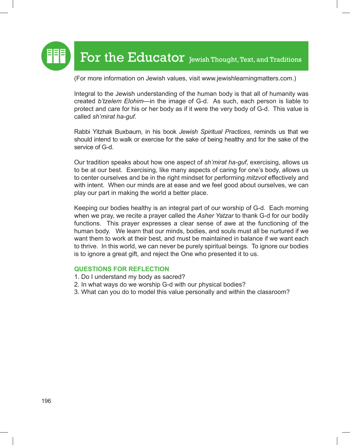

(For more information on Jewish values, visit www.jewishlearningmatters.com.)

Integral to the Jewish understanding of the human body is that all of humanity was created *b'tzelem Elohim*—in the image of G-d. As such, each person is liable to protect and care for his or her body as if it were the very body of G-d. This value is called *sh'mirat ha-guf.*

Rabbi Yitzhak Buxbaum, in his book *Jewish Spiritual Practices*, reminds us that we should intend to walk or exercise for the sake of being healthy and for the sake of the service of G-d.

Our tradition speaks about how one aspect of *sh'mirat ha-guf*, exercising, allows us to be at our best. Exercising, like many aspects of caring for one's body, allows us to center ourselves and be in the right mindset for performing *mitzvot* effectively and with intent. When our minds are at ease and we feel good about ourselves, we can play our part in making the world a better place.

Keeping our bodies healthy is an integral part of our worship of G-d. Each morning when we pray, we recite a prayer called the *Asher Yatzar* to thank G-d for our bodily functions. This prayer expresses a clear sense of awe at the functioning of the human body. We learn that our minds, bodies, and souls must all be nurtured if we want them to work at their best, and must be maintained in balance if we want each to thrive. In this world, we can never be purely spiritual beings. To ignore our bodies is to ignore a great gift, and reject the One who presented it to us.

### **Questions for Reflection**

- 1. Do I understand my body as sacred?
- 2. In what ways do we worship G-d with our physical bodies?
- 3. What can you do to model this value personally and within the classroom?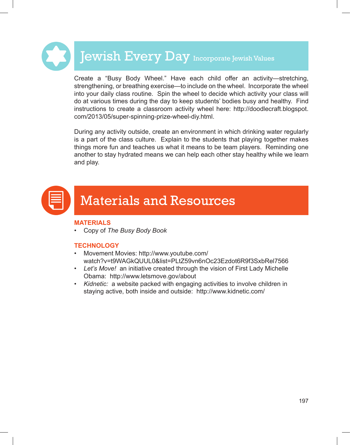# **Jewish Every Day Incorporate Jewish Values**

Create a "Busy Body Wheel." Have each child offer an activity—stretching, strengthening, or breathing exercise—to include on the wheel. Incorporate the wheel into your daily class routine. Spin the wheel to decide which activity your class will do at various times during the day to keep students' bodies busy and healthy. Find instructions to create a classroom activity wheel here: http://doodlecraft.blogspot. com/2013/05/super-spinning-prize-wheel-diy.html.

During any activity outside, create an environment in which drinking water regularly is a part of the class culture. Explain to the students that playing together makes things more fun and teaches us what it means to be team players. Reminding one another to stay hydrated means we can help each other stay healthy while we learn and play.



### **MAteriAlS**

**Copy of The Busy Body Book** 

### **technology**

- • Movement Movies: http://www.youtube.com/ watch?v=t9WAGkQUUL0&list=PLtZ59vn6nOc23Ezdot6R9f3SxbRel7566
- *Let's Move!* an initiative created through the vision of First Lady Michelle Obama: http://www.letsmove.gov/about
- *Kidnetic:* a website packed with engaging activities to involve children in staying active, both inside and outside: http://www.kidnetic.com/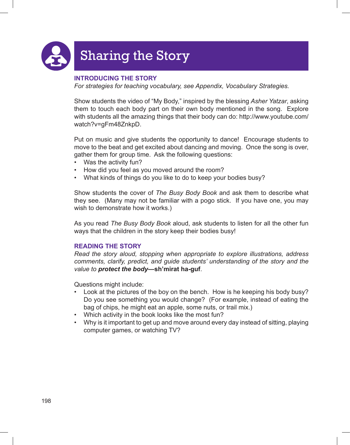

# Sharing the Story

### **Introducing the Story**

*For strategies for teaching vocabulary, see Appendix, Vocabulary Strategies.*

Show students the video of "My Body," inspired by the blessing *Asher Yatzar*, asking them to touch each body part on their own body mentioned in the song. Explore with students all the amazing things that their body can do: http://www.youtube.com/ watch?v=gFm48ZnkpD.

Put on music and give students the opportunity to dance! Encourage students to move to the beat and get excited about dancing and moving. Once the song is over, gather them for group time. Ask the following questions:

- Was the activity fun?
- How did you feel as you moved around the room?
- What kinds of things do you like to do to keep your bodies busy?

Show students the cover of *The Busy Body Book* and ask them to describe what they see. (Many may not be familiar with a pogo stick. If you have one, you may wish to demonstrate how it works.)

As you read *The Busy Body Book* aloud, ask students to listen for all the other fun ways that the children in the story keep their bodies busy!

### **Reading the Story**

*Read the story aloud, stopping when appropriate to explore illustrations, address comments, clarify, predict, and guide students' understanding of the story and the value to protect the body***—sh'mirat ha-guf**.

Questions might include:

- Look at the pictures of the boy on the bench. How is he keeping his body busy? Do you see something you would change? (For example, instead of eating the bag of chips, he might eat an apple, some nuts, or trail mix.)
- Which activity in the book looks like the most fun?
- Why is it important to get up and move around every day instead of sitting, playing computer games, or watching TV?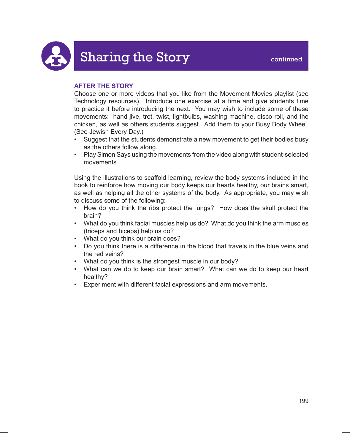### **After the Story**

Choose one or more videos that you like from the Movement Movies playlist (see Technology resources). Introduce one exercise at a time and give students time to practice it before introducing the next. You may wish to include some of these movements: hand jive, trot, twist, lightbulbs, washing machine, disco roll, and the chicken, as well as others students suggest. Add them to your Busy Body Wheel. (See Jewish Every Day.)

- Suggest that the students demonstrate a new movement to get their bodies busy as the others follow along.
- Play Simon Says using the movements from the video along with student-selected movements.

Using the illustrations to scaffold learning, review the body systems included in the book to reinforce how moving our body keeps our hearts healthy, our brains smart, as well as helping all the other systems of the body. As appropriate, you may wish to discuss some of the following:

- How do you think the ribs protect the lungs? How does the skull protect the brain?
- What do you think facial muscles help us do? What do you think the arm muscles (triceps and biceps) help us do?
- What do you think our brain does?
- Do you think there is a difference in the blood that travels in the blue veins and the red veins?
- What do you think is the strongest muscle in our body?
- What can we do to keep our brain smart? What can we do to keep our heart healthy?
- Experiment with different facial expressions and arm movements.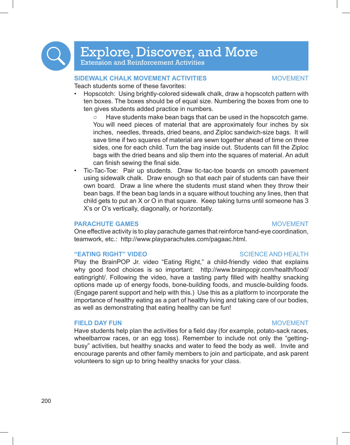Explore, Discover, and More

Extension and Reinforcement Activities

### **Sidewalk Chalk Movement Activities** Movement

Teach students some of these favorites:

Hopscotch: Using brightly-colored sidewalk chalk, draw a hopscotch pattern with ten boxes. The boxes should be of equal size. Numbering the boxes from one to ten gives students added practice in numbers.

Have students make bean bags that can be used in the hopscotch game. You will need pieces of material that are approximately four inches by six inches, needles, threads, dried beans, and Ziploc sandwich-size bags. It will save time if two squares of material are sewn together ahead of time on three sides, one for each child. Turn the bag inside out. Students can fill the Ziploc bags with the dried beans and slip them into the squares of material. An adult can finish sewing the final side.

Tic-Tac-Toe: Pair up students. Draw tic-tac-toe boards on smooth pavement using sidewalk chalk. Draw enough so that each pair of students can have their own board. Draw a line where the students must stand when they throw their bean bags. If the bean bag lands in a square without touching any lines, then that child gets to put an X or O in that square. Keep taking turns until someone has 3 X's or O's vertically, diagonally, or horizontally.

### **PARACHUTE GAMES** MOVEMENT

One effective activity is to play parachute games that reinforce hand-eye coordination,

### **"EATING RIGHT" VIDEO** SCIENCE AND HEALTH

Play the BrainPOP Jr. video "Eating Right," a child-friendly video that explains why good food choices is so important: http://www.brainpopjr.com/health/food/ eatingright/. Following the video, have a tasting party filled with healthy snacking options made up of energy foods, bone-building foods, and muscle-building foods. (Engage parent support and help with this.) Use this as a platform to incorporate the importance of healthy eating as a part of healthy living and taking care of our bodies, as well as demonstrating that eating healthy can be fun!

teamwork, etc.: http://www.playparachutes.com/pagaac.html.

### **FIELD DAY FUN** MOVEMENT

Have students help plan the activities for a field day (for example, potato-sack races, wheelbarrow races, or an egg toss). Remember to include not only the "gettingbusy" activities, but healthy snacks and water to feed the body as well. Invite and encourage parents and other family members to join and participate, and ask parent volunteers to sign up to bring healthy snacks for your class.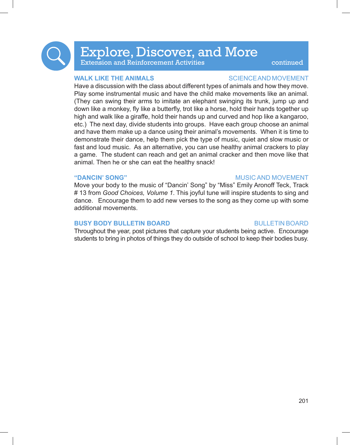

# Explore, Discover, and More

Extension and Reinforcement Activities **The Continued** 

### **WALK LIKE THE ANIMALS SCIENCEAND MOVEMENT**

Have a discussion with the class about different types of animals and how they move. Play some instrumental music and have the child make movements like an animal. (They can swing their arms to imitate an elephant swinging its trunk, jump up and down like a monkey, fly like a butterfly, trot like a horse, hold their hands together up high and walk like a giraffe, hold their hands up and curved and hop like a kangaroo, etc.) The next day, divide students into groups. Have each group choose an animal and have them make up a dance using their animal's movements. When it is time to demonstrate their dance, help them pick the type of music, quiet and slow music or fast and loud music. As an alternative, you can use healthy animal crackers to play a game. The student can reach and get an animal cracker and then move like that animal. Then he or she can eat the healthy snack!

### **"Dancin' Song"** Music and Movement

Move your body to the music of "Dancin' Song" by "Miss" Emily Aronoff Teck, Track # 13 from *Good Choices, Volume 1*. This joyful tune will inspire students to sing and dance. Encourage them to add new verses to the song as they come up with some additional movements.

### **BUSY BODY BULLETIN BOARD BULLETIN BOARD**

Throughout the year, post pictures that capture your students being active. Encourage students to bring in photos of things they do outside of school to keep their bodies busy.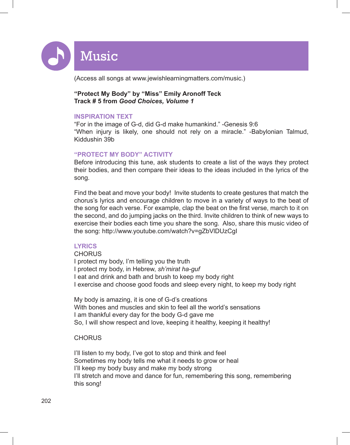Music

(Access all songs at www.jewishlearningmatters.com/music.)

### **"Protect My Body" by "Miss" Emily Aronoff Teck Track # 5 from** *Good Choices, Volume 1*

### **Inspiration Text**

"For in the image of G-d, did G-d make humankind." -Genesis 9:6 "When injury is likely, one should not rely on a miracle." -Babylonian Talmud, Kiddushin 39b

### **"Protect My Body" Activity**

Before introducing this tune, ask students to create a list of the ways they protect their bodies, and then compare their ideas to the ideas included in the lyrics of the song.

Find the beat and move your body! Invite students to create gestures that match the chorus's lyrics and encourage children to move in a variety of ways to the beat of the song for each verse. For example, clap the beat on the first verse, march to it on the second, and do jumping jacks on the third. Invite children to think of new ways to exercise their bodies each time you share the song. Also, share this music video of the song: http://www.youtube.com/watch?v=gZbVlDUzCgI

### **Lyrics**

CHORUS I protect my body, I'm telling you the truth I protect my body, in Hebrew, *sh'mirat ha-guf* I eat and drink and bath and brush to keep my body right I exercise and choose good foods and sleep every night, to keep my body right

My body is amazing, it is one of G-d's creations With bones and muscles and skin to feel all the world's sensations I am thankful every day for the body G-d gave me So, I will show respect and love, keeping it healthy, keeping it healthy!

### **CHORUS**

I'll listen to my body, I've got to stop and think and feel Sometimes my body tells me what it needs to grow or heal I'll keep my body busy and make my body strong I'll stretch and move and dance for fun, remembering this song, remembering this song!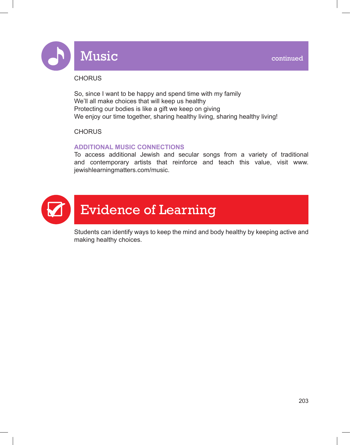

# Music **Music Continued**

### **CHORUS**

So, since I want to be happy and spend time with my family We'll all make choices that will keep us healthy Protecting our bodies is like a gift we keep on giving We enjoy our time together, sharing healthy living, sharing healthy living!

### **CHORUS**

### **Additional Music Connections**

To access additional Jewish and secular songs from a variety of traditional and contemporary artists that reinforce and teach this value, visit www. jewishlearningmatters.com/music.



Students can identify ways to keep the mind and body healthy by keeping active and making healthy choices.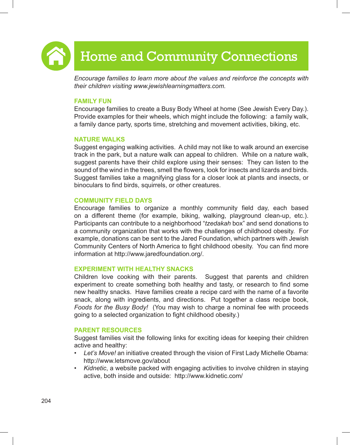

# Home and Community Connections

*Encourage families to learn more about the values and reinforce the concepts with their children visiting www.jewishlearningmatters.com.* 

### **Family Fun**

Encourage families to create a Busy Body Wheel at home (See Jewish Every Day.). Provide examples for their wheels, which might include the following: a family walk, a family dance party, sports time, stretching and movement activities, biking, etc.

### **Nature Walks**

Suggest engaging walking activities. A child may not like to walk around an exercise track in the park, but a nature walk can appeal to children. While on a nature walk, suggest parents have their child explore using their senses: They can listen to the sound of the wind in the trees, smell the flowers, look for insects and lizards and birds. Suggest families take a magnifying glass for a closer look at plants and insects, or binoculars to find birds, squirrels, or other creatures.

### **Community Field Days**

Encourage families to organize a monthly community field day, each based on a different theme (for example, biking, walking, playground clean-up, etc.). Participants can contribute to a neighborhood "*tzedakah* box" and send donations to a community organization that works with the challenges of childhood obesity. For example, donations can be sent to the Jared Foundation, which partners with Jewish Community Centers of North America to fight childhood obesity. You can find more information at http://www.jaredfoundation.org/.

### **Experiment with Healthy Snacks**

Children love cooking with their parents. Suggest that parents and children experiment to create something both healthy and tasty, or research to find some new healthy snacks. Have families create a recipe card with the name of a favorite snack, along with ingredients, and directions. Put together a class recipe book, *Foods for the Busy Body!* (You may wish to charge a nominal fee with proceeds going to a selected organization to fight childhood obesity.)

### **Parent Resources**

Suggest families visit the following links for exciting ideas for keeping their children active and healthy:

- *• Let's Move!* an initiative created through the vision of First Lady Michelle Obama: http://www.letsmove.gov/about
- *• Kidnetic*, a website packed with engaging activities to involve children in staying active, both inside and outside: http://www.kidnetic.com/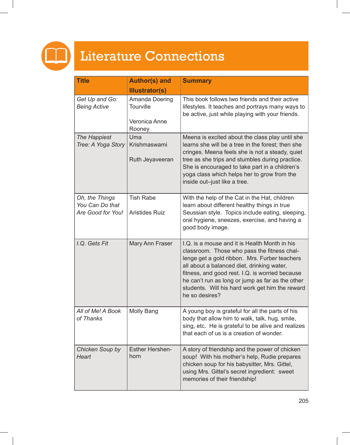

# Literature Connections

| <b>Title</b>                                           | <b>Author(s) and</b>                                   | <b>Summary</b>                                                                                                                                                                                                                                                                                                                                                          |
|--------------------------------------------------------|--------------------------------------------------------|-------------------------------------------------------------------------------------------------------------------------------------------------------------------------------------------------------------------------------------------------------------------------------------------------------------------------------------------------------------------------|
|                                                        | <b>Illustrator(s)</b>                                  |                                                                                                                                                                                                                                                                                                                                                                         |
| Get Up and Go:<br><b>Being Active</b>                  | Amanda Doering<br>Tourville<br>Veronica Anne<br>Rooney | This book follows two friends and their active<br>lifestyles. It teaches and portrays many ways to<br>be active, just while playing with your friends.                                                                                                                                                                                                                  |
| The Happiest<br>Tree: A Yoga Story                     | Uma<br>Krishmaswami<br>Ruth Jeyaveeran                 | Meena is excited about the class play until she<br>learns she will be a tree in the forest; then she<br>cringes. Meena feels she is not a steady, quiet<br>tree as she trips and stumbles during practice.<br>She is encouraged to take part in a children's<br>yoga class which helps her to grow from the<br>inside out-just like a tree.                             |
| Oh, the Things<br>You Can Do that<br>Are Good for You! | <b>Tish Rabe</b><br><b>Aristides Ruiz</b>              | With the help of the Cat in the Hat, children<br>learn about different healthy things in true<br>Seussian style. Topics include eating, sleeping,<br>oral hygiene, sneezes, exercise, and having a<br>good body image.                                                                                                                                                  |
| I.Q. Gets Fit                                          | Mary Ann Fraser                                        | I.Q. is a mouse and it is Health Month in his<br>classroom. Those who pass the fitness chal-<br>lenge get a gold ribbon. Mrs. Furber teachers<br>all about a balanced diet, drinking water,<br>fitness, and good rest. I.Q. is worried because<br>he can't run as long or jump as far as the other<br>students. Will his hard work get him the reward<br>he so desires? |
| All of Me! A Book<br>of Thanks                         | Molly Bang                                             | A young boy is grateful for all the parts of his<br>body that allow him to walk, talk, hug, smile,<br>sing, etc. He is grateful to be alive and realizes<br>that each of us is a creation of wonder.                                                                                                                                                                    |
| Chicken Soup by<br><b>Heart</b>                        | <b>Esther Hershen-</b><br>horn                         | A story of friendship and the power of chicken<br>soup! With his mother's help, Rudie prepares<br>chicken soup for his babysitter, Mrs. Gittel,<br>using Mrs. Gittel's secret ingredient: sweet<br>memories of their friendship!                                                                                                                                        |